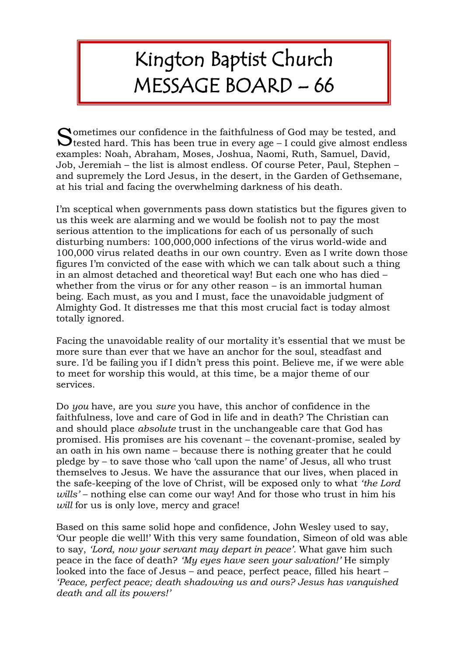## Kington Baptist Church MESSAGE BOARD – 66

Sometimes our confidence in the faithfulness of God may be tested, and tested hard. This has been true in every age – I could give almost endle  $\bigcup$  tested hard. This has been true in every age – I could give almost endless examples: Noah, Abraham, Moses, Joshua, Naomi, Ruth, Samuel, David, Job, Jeremiah – the list is almost endless. Of course Peter, Paul, Stephen – and supremely the Lord Jesus, in the desert, in the Garden of Gethsemane, at his trial and facing the overwhelming darkness of his death.

I'm sceptical when governments pass down statistics but the figures given to us this week are alarming and we would be foolish not to pay the most serious attention to the implications for each of us personally of such disturbing numbers: 100,000,000 infections of the virus world-wide and 100,000 virus related deaths in our own country. Even as I write down those figures I'm convicted of the ease with which we can talk about such a thing in an almost detached and theoretical way! But each one who has died – whether from the virus or for any other reason – is an immortal human being. Each must, as you and I must, face the unavoidable judgment of Almighty God. It distresses me that this most crucial fact is today almost totally ignored.

Facing the unavoidable reality of our mortality it's essential that we must be more sure than ever that we have an anchor for the soul, steadfast and sure. I'd be failing you if I didn't press this point. Believe me, if we were able to meet for worship this would, at this time, be a major theme of our services.

Do *you* have, are you *sure* you have, this anchor of confidence in the faithfulness, love and care of God in life and in death? The Christian can and should place *absolute* trust in the unchangeable care that God has promised. His promises are his covenant – the covenant-promise, sealed by an oath in his own name – because there is nothing greater that he could pledge by – to save those who 'call upon the name' of Jesus, all who trust themselves to Jesus. We have the assurance that our lives, when placed in the safe-keeping of the love of Christ, will be exposed only to what *'the Lord wills'* – nothing else can come our way! And for those who trust in him his *will* for us is only love, mercy and grace!

Based on this same solid hope and confidence, John Wesley used to say, 'Our people die well!' With this very same foundation, Simeon of old was able to say, *'Lord, now your servant may depart in peace'.* What gave him such peace in the face of death? *'My eyes have seen your salvation!'* He simply looked into the face of Jesus – and peace, perfect peace, filled his heart – *'Peace, perfect peace; death shadowing us and ours? Jesus has vanquished death and all its powers!'*